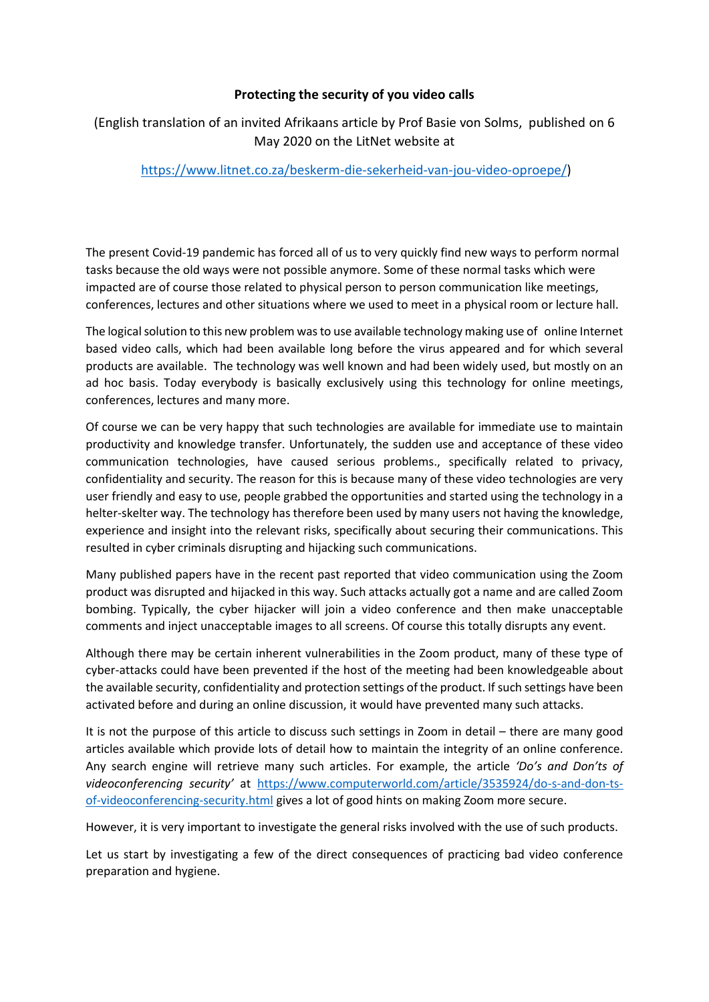## **Protecting the security of you video calls**

## (English translation of an invited Afrikaans article by Prof Basie von Solms, published on 6 May 2020 on the LitNet website at

## [https://www.litnet.co.za/beskerm-die-sekerheid-van-jou-video-oproepe/\)](https://www.litnet.co.za/beskerm-die-sekerheid-van-jou-video-oproepe/)

The present Covid-19 pandemic has forced all of us to very quickly find new ways to perform normal tasks because the old ways were not possible anymore. Some of these normal tasks which were impacted are of course those related to physical person to person communication like meetings, conferences, lectures and other situations where we used to meet in a physical room or lecture hall.

The logical solution to this new problem was to use available technology making use of online Internet based video calls, which had been available long before the virus appeared and for which several products are available. The technology was well known and had been widely used, but mostly on an ad hoc basis. Today everybody is basically exclusively using this technology for online meetings, conferences, lectures and many more.

Of course we can be very happy that such technologies are available for immediate use to maintain productivity and knowledge transfer. Unfortunately, the sudden use and acceptance of these video communication technologies, have caused serious problems., specifically related to privacy, confidentiality and security. The reason for this is because many of these video technologies are very user friendly and easy to use, people grabbed the opportunities and started using the technology in a helter-skelter way. The technology has therefore been used by many users not having the knowledge, experience and insight into the relevant risks, specifically about securing their communications. This resulted in cyber criminals disrupting and hijacking such communications.

Many published papers have in the recent past reported that video communication using the Zoom product was disrupted and hijacked in this way. Such attacks actually got a name and are called Zoom bombing. Typically, the cyber hijacker will join a video conference and then make unacceptable comments and inject unacceptable images to all screens. Of course this totally disrupts any event.

Although there may be certain inherent vulnerabilities in the Zoom product, many of these type of cyber-attacks could have been prevented if the host of the meeting had been knowledgeable about the available security, confidentiality and protection settings of the product. If such settings have been activated before and during an online discussion, it would have prevented many such attacks.

It is not the purpose of this article to discuss such settings in Zoom in detail – there are many good articles available which provide lots of detail how to maintain the integrity of an online conference. Any search engine will retrieve many such articles. For example, the article *'Do's and Don'ts of videoconferencing security'* at [https://www.computerworld.com/article/3535924/do-s-and-don-ts](https://www.computerworld.com/article/3535924/do-s-and-don-ts-of-videoconferencing-security.html)[of-videoconferencing-security.html](https://www.computerworld.com/article/3535924/do-s-and-don-ts-of-videoconferencing-security.html) gives a lot of good hints on making Zoom more secure.

However, it is very important to investigate the general risks involved with the use of such products.

Let us start by investigating a few of the direct consequences of practicing bad video conference preparation and hygiene.